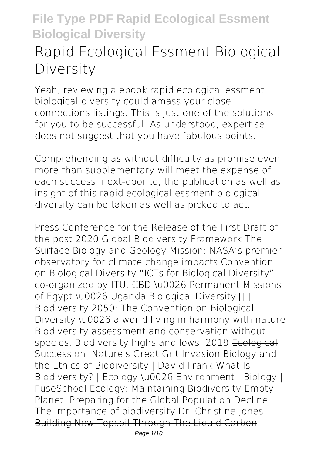# **Rapid Ecological Essment Biological Diversity**

Yeah, reviewing a ebook **rapid ecological essment biological diversity** could amass your close connections listings. This is just one of the solutions for you to be successful. As understood, expertise does not suggest that you have fabulous points.

Comprehending as without difficulty as promise even more than supplementary will meet the expense of each success. next-door to, the publication as well as insight of this rapid ecological essment biological diversity can be taken as well as picked to act.

*Press Conference for the Release of the First Draft of the post 2020 Global Biodiversity Framework* The Surface Biology and Geology Mission: NASA's premier observatory for climate change impacts *Convention on Biological Diversity* **"ICTs for Biological Diversity" co-organized by ITU, CBD \u0026 Permanent Missions** of Egypt \u0026 Uganda Biological Diversity **H** Biodiversity 2050: The Convention on Biological Diversity \u0026 a world living in harmony with nature *Biodiversity assessment and conservation without* species. Biodiversity highs and lows: 2019 Ecological Succession: Nature's Great Grit Invasion Biology and the Ethics of Biodiversity | David Frank What Is Biodiversity? | Ecology \u0026 Environment | Biology | FuseSchool Ecology: Maintaining Biodiversity **Empty Planet: Preparing for the Global Population Decline** The importance of biodiversity Dr. Christine Jones-Building New Topsoil Through The Liquid Carbon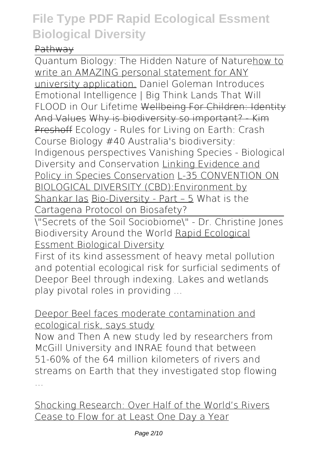#### Pathway

Quantum Biology: The Hidden Nature of Naturehow to write an AMAZING personal statement for ANY university application. **Daniel Goleman Introduces Emotional Intelligence | Big Think** *Lands That Will FLOOD in Our Lifetime* Wellbeing For Children: Identity And Values Why is biodiversity so important? Kim Preshoff Ecology - Rules for Living on Earth: Crash Course Biology #40 Australia's biodiversity: Indigenous perspectives *Vanishing Species - Biological Diversity and Conservation* Linking Evidence and Policy in Species Conservation L-35 CONVENTION ON BIOLOGICAL DIVERSITY (CBD):Environment by Shankar Ias Bio-Diversity - Part – 5 **What is the Cartagena Protocol on Biosafety?**

\"Secrets of the Soil Sociobiome\" - Dr. Christine Jones **Biodiversity Around the World** Rapid Ecological Essment Biological Diversity

First of its kind assessment of heavy metal pollution and potential ecological risk for surficial sediments of Deepor Beel through indexing. Lakes and wetlands play pivotal roles in providing ...

#### Deepor Beel faces moderate contamination and ecological risk, says study

Now and Then A new study led by researchers from McGill University and INRAE found that between 51-60% of the 64 million kilometers of rivers and streams on Earth that they investigated stop flowing ...

Shocking Research: Over Half of the World's Rivers Cease to Flow for at Least One Day a Year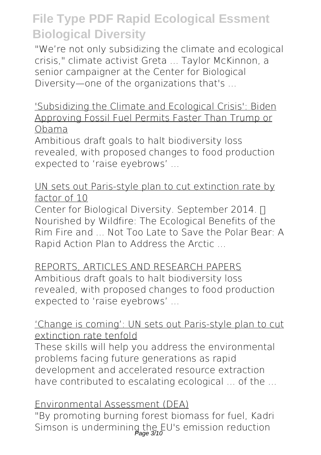"We're not only subsidizing the climate and ecological crisis," climate activist Greta ... Taylor McKinnon, a senior campaigner at the Center for Biological Diversity—one of the organizations that's ...

#### 'Subsidizing the Climate and Ecological Crisis': Biden Approving Fossil Fuel Permits Faster Than Trump or Obama

Ambitious draft goals to halt biodiversity loss revealed, with proposed changes to food production expected to 'raise eyebrows' ...

#### UN sets out Paris-style plan to cut extinction rate by factor of 10

Center for Biological Diversity. September 2014.  $\Box$ Nourished by Wildfire: The Ecological Benefits of the Rim Fire and ... Not Too Late to Save the Polar Bear: A Rapid Action Plan to Address the Arctic ...

### REPORTS, ARTICLES AND RESEARCH PAPERS

Ambitious draft goals to halt biodiversity loss revealed, with proposed changes to food production expected to 'raise eyebrows' ...

#### 'Change is coming': UN sets out Paris-style plan to cut extinction rate tenfold

These skills will help you address the environmental problems facing future generations as rapid development and accelerated resource extraction have contributed to escalating ecological ... of the ...

#### Environmental Assessment (DEA)

"By promoting burning forest biomass for fuel, Kadri Simson is undermining the EU's emission reduction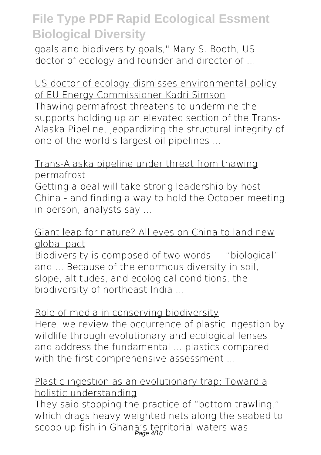goals and biodiversity goals," Mary S. Booth, US doctor of ecology and founder and director of ...

US doctor of ecology dismisses environmental policy of EU Energy Commissioner Kadri Simson Thawing permafrost threatens to undermine the supports holding up an elevated section of the Trans-Alaska Pipeline, jeopardizing the structural integrity of one of the world's largest oil pipelines ...

#### Trans-Alaska pipeline under threat from thawing permafrost

Getting a deal will take strong leadership by host China - and finding a way to hold the October meeting in person, analysts say ...

#### Giant leap for nature? All eyes on China to land new global pact

Biodiversity is composed of two words — "biological" and ... Because of the enormous diversity in soil, slope, altitudes, and ecological conditions, the biodiversity of northeast India ...

#### Role of media in conserving biodiversity

Here, we review the occurrence of plastic ingestion by wildlife through evolutionary and ecological lenses and address the fundamental ... plastics compared with the first comprehensive assessment ...

#### Plastic ingestion as an evolutionary trap: Toward a holistic understanding

They said stopping the practice of "bottom trawling," which drags heavy weighted nets along the seabed to scoop up fish in Ghana's territorial waters was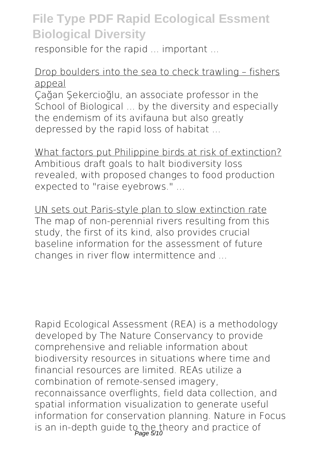responsible for the rapid ... important ...

#### Drop boulders into the sea to check trawling – fishers appeal

Çağan Şekercioğlu, an associate professor in the School of Biological ... by the diversity and especially the endemism of its avifauna but also greatly depressed by the rapid loss of habitat ...

What factors put Philippine birds at risk of extinction? Ambitious draft goals to halt biodiversity loss revealed, with proposed changes to food production expected to "raise eyebrows." ...

UN sets out Paris-style plan to slow extinction rate The map of non-perennial rivers resulting from this study, the first of its kind, also provides crucial baseline information for the assessment of future changes in river flow intermittence and ...

Rapid Ecological Assessment (REA) is a methodology developed by The Nature Conservancy to provide comprehensive and reliable information about biodiversity resources in situations where time and financial resources are limited. REAs utilize a combination of remote-sensed imagery, reconnaissance overflights, field data collection, and spatial information visualization to generate useful information for conservation planning. Nature in Focus is an in-depth guide to the theory and practice of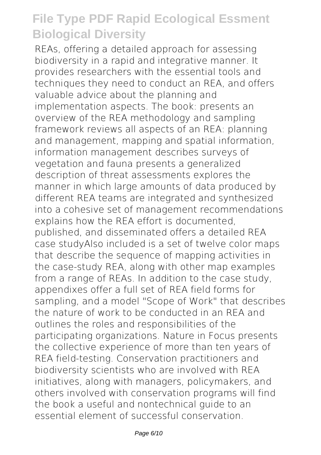REAs, offering a detailed approach for assessing biodiversity in a rapid and integrative manner. It provides researchers with the essential tools and techniques they need to conduct an REA, and offers valuable advice about the planning and implementation aspects. The book: presents an overview of the REA methodology and sampling framework reviews all aspects of an REA: planning and management, mapping and spatial information, information management describes surveys of vegetation and fauna presents a generalized description of threat assessments explores the manner in which large amounts of data produced by different REA teams are integrated and synthesized into a cohesive set of management recommendations explains how the REA effort is documented, published, and disseminated offers a detailed REA case studyAlso included is a set of twelve color maps that describe the sequence of mapping activities in the case-study REA, along with other map examples from a range of REAs. In addition to the case study, appendixes offer a full set of REA field forms for sampling, and a model "Scope of Work" that describes the nature of work to be conducted in an REA and outlines the roles and responsibilities of the participating organizations. Nature in Focus presents the collective experience of more than ten years of REA field-testing. Conservation practitioners and biodiversity scientists who are involved with REA initiatives, along with managers, policymakers, and others involved with conservation programs will find the book a useful and nontechnical guide to an essential element of successful conservation.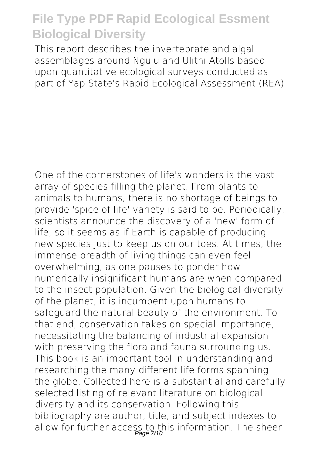This report describes the invertebrate and algal assemblages around Ngulu and Ulithi Atolls based upon quantitative ecological surveys conducted as part of Yap State's Rapid Ecological Assessment (REA)

One of the cornerstones of life's wonders is the vast array of species filling the planet. From plants to animals to humans, there is no shortage of beings to provide 'spice of life' variety is said to be. Periodically, scientists announce the discovery of a 'new' form of life, so it seems as if Earth is capable of producing new species just to keep us on our toes. At times, the immense breadth of living things can even feel overwhelming, as one pauses to ponder how numerically insignificant humans are when compared to the insect population. Given the biological diversity of the planet, it is incumbent upon humans to safeguard the natural beauty of the environment. To that end, conservation takes on special importance, necessitating the balancing of industrial expansion with preserving the flora and fauna surrounding us. This book is an important tool in understanding and researching the many different life forms spanning the globe. Collected here is a substantial and carefully selected listing of relevant literature on biological diversity and its conservation. Following this bibliography are author, title, and subject indexes to allow for further access to this information. The sheer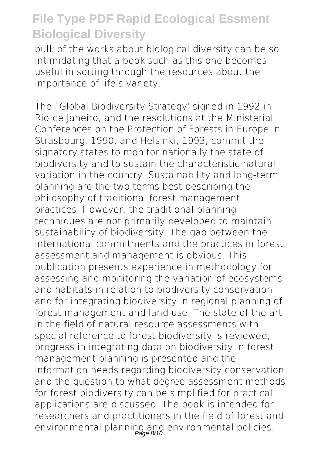bulk of the works about biological diversity can be so intimidating that a book such as this one becomes useful in sorting through the resources about the importance of life's variety.

The `Global Biodiversity Strategy' signed in 1992 in Rio de Janeiro, and the resolutions at the Ministerial Conferences on the Protection of Forests in Europe in Strasbourg, 1990, and Helsinki, 1993, commit the signatory states to monitor nationally the state of biodiversity and to sustain the characteristic natural variation in the country. Sustainability and long-term planning are the two terms best describing the philosophy of traditional forest management practices. However, the traditional planning techniques are not primarily developed to maintain sustainability of biodiversity. The gap between the international commitments and the practices in forest assessment and management is obvious. This publication presents experience in methodology for assessing and monitoring the variation of ecosystems and habitats in relation to biodiversity conservation and for integrating biodiversity in regional planning of forest management and land use. The state of the art in the field of natural resource assessments with special reference to forest biodiversity is reviewed, progress in integrating data on biodiversity in forest management planning is presented and the information needs regarding biodiversity conservation and the question to what degree assessment methods for forest biodiversity can be simplified for practical applications are discussed. The book is intended for researchers and practitioners in the field of forest and environmental planning and environmental policies.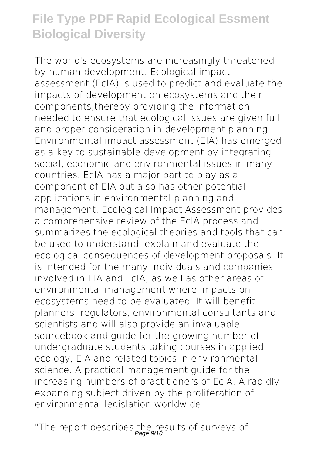The world's ecosystems are increasingly threatened by human development. Ecological impact assessment (EcIA) is used to predict and evaluate the impacts of development on ecosystems and their components,thereby providing the information needed to ensure that ecological issues are given full and proper consideration in development planning. Environmental impact assessment (EIA) has emerged as a key to sustainable development by integrating social, economic and environmental issues in many countries. EcIA has a major part to play as a component of EIA but also has other potential applications in environmental planning and management. Ecological Impact Assessment provides a comprehensive review of the EcIA process and summarizes the ecological theories and tools that can be used to understand, explain and evaluate the ecological consequences of development proposals. It is intended for the many individuals and companies involved in EIA and EcIA, as well as other areas of environmental management where impacts on ecosystems need to be evaluated. It will benefit planners, regulators, environmental consultants and scientists and will also provide an invaluable sourcebook and guide for the growing number of undergraduate students taking courses in applied ecology, EIA and related topics in environmental science. A practical management guide for the increasing numbers of practitioners of EcIA. A rapidly expanding subject driven by the proliferation of environmental legislation worldwide.

"The report describes the results of surveys of